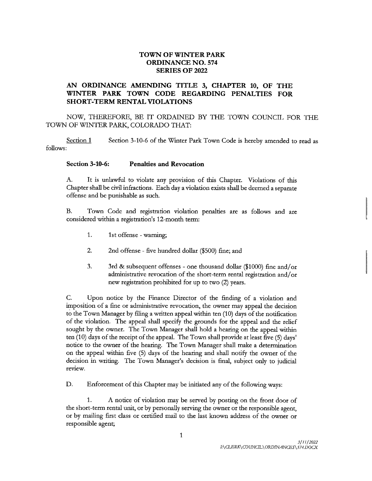## TOWN OF WINTER PARK ORDINANCE NO. 574 SERIES OF 2022

## AN ORDINANCE AMENDING TITLE 3, CHAPTER 10, OF THE WINTER PARK TOWN CODE REGARDING PENALTIES FOR SHORT-TERM RENTAL VIOLATIONS

NOW, THEREFORE, BE IT ORDAINED BY THE TOWN COUNCIL FOR THE TOWN OF WINTER PARK, COLORADO THAT:

Section <sup>1</sup> follows: Section 3-10-6 of the Winter Park Town Code is hereby amended to read as Section 1 Section 3-10-0 or the Winter Park<br>Section 3-10-6: Penalties and Revocation

A. It is unlawful to violate any provision of this Chapter. Violations of this Chapter shall be civil infractions. Each day <sup>a</sup> violation exists shall be deemed <sup>a</sup> separate offense and be punishable as such. ian to violate any provision of infractions. Each day a violat<br>shable as such.<br>and registration violation<br>registration's 12-month term:<br>offense - varning:

B. Town Code and registration violation penalties are as follows and are considered within a registration's 12-month term:

- 1. 1st offense warning;
- 2. 2nd offense five hundred dollar (\$500) fine; and
- 3. 3rd & subsequent offenses one thousand dollar (\$1000) fine and/or administrative revocation of the short-term rental registration and/or new registration prohibited for up to two (2) years.

C. Upon notice by the Finance Director of the finding of <sup>a</sup> violation and imposition of <sup>a</sup> fine or administrative revocation, the owner may appeal the decision to the Town Manager by filing <sup>a</sup> written appeal within ten (10) days of the notification of the violation. The appeal shall specify the grounds for the appeal and the relief sought by the owner. The Town Manager shall hold <sup>a</sup> hearing on the appeal within ten (10) days of the receipt of the appeal. The Town shall provide at least five (5) days' notice to the owner of the hearing. The Town Manager shall make <sup>a</sup> determination on the appeal within five ( 5) days of the hearing and shall notify the owner of the Figure 1112 The Town Manager<br>sought by the owner. The Town Manager<br>ten (10) days of the receipt of the appeal. T<br>notice to the owner of the hearing. The T<br>on the appeal within five (5) days of the<br>decision in writing. The decision in writing. The Town Manager's decision is final, subject only to judicial review.

D. Enforcement of this Chapter may be initiated any of the following ways:

1. A notice of violation may be served by posting on the front door of the short- tem rental unit, or by personally serving the owner or the responsible agent, or by mailing first class or certified mail to the last known address of the owner or responsible agent;